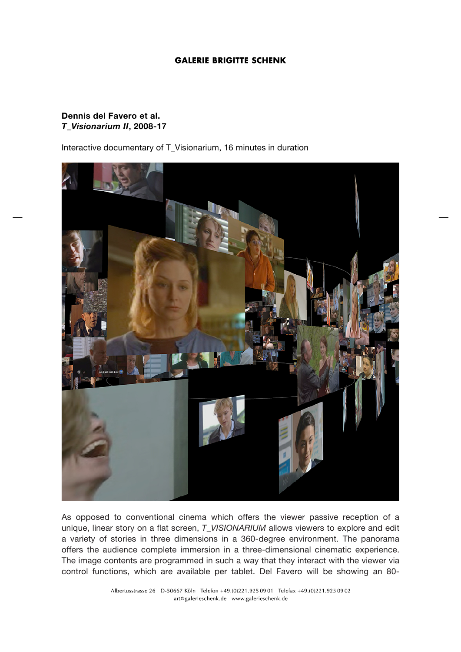## **GALERIE BRIGITTE SCHENK**

## **Dennis del Favero et al.** *T\_Visionarium II***, 2008-17**

Interactive documentary of T\_Visionarium, 16 minutes in duration



As opposed to conventional cinema which offers the viewer passive reception of a unique, linear story on a flat screen, *T\_VISIONARIUM* allows viewers to explore and edit a variety of stories in three dimensions in a 360-degree environment. The panorama offers the audience complete immersion in a three-dimensional cinematic experience. The image contents are programmed in such a way that they interact with the viewer via control functions, which are available per tablet. Del Favero will be showing an 80-